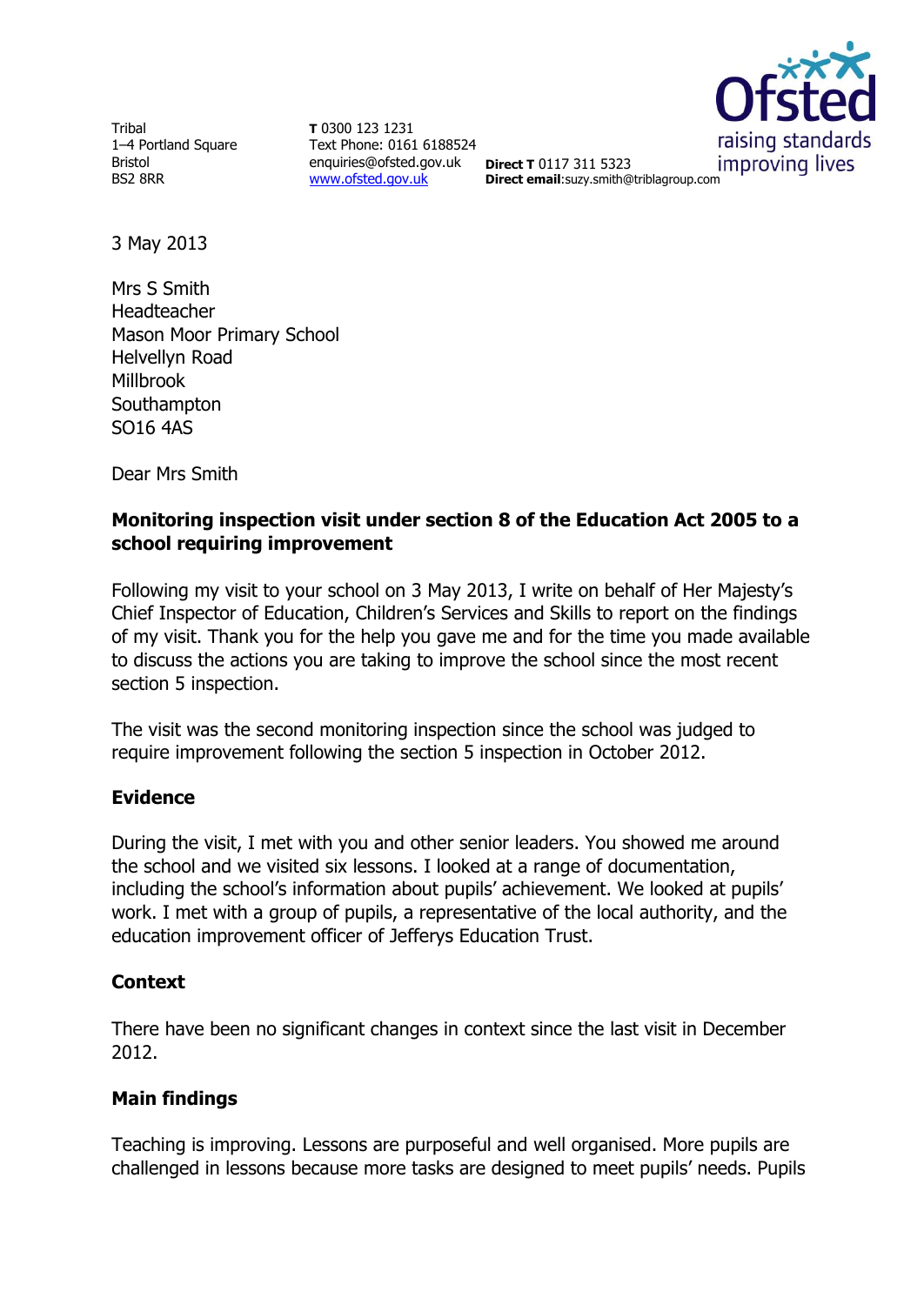Tribal 1–4 Portland Square Bristol BS2 8RR

**T** 0300 123 1231 Text Phone: 0161 6188524 enquiries@ofsted.gov.uk **Direct T** 0117 311 5323 [www.ofsted.gov.uk](http://www.ofsted.gov.uk/)



**Direct email**:suzy.smith@triblagroup.com

3 May 2013

Mrs S Smith Headteacher Mason Moor Primary School Helvellyn Road Millbrook **Southampton** SO16 4AS

Dear Mrs Smith

# **Monitoring inspection visit under section 8 of the Education Act 2005 to a school requiring improvement**

Following my visit to your school on 3 May 2013, I write on behalf of Her Majesty's Chief Inspector of Education, Children's Services and Skills to report on the findings of my visit. Thank you for the help you gave me and for the time you made available to discuss the actions you are taking to improve the school since the most recent section 5 inspection.

The visit was the second monitoring inspection since the school was judged to require improvement following the section 5 inspection in October 2012.

### **Evidence**

During the visit, I met with you and other senior leaders. You showed me around the school and we visited six lessons. I looked at a range of documentation, including the school's information about pupils' achievement. We looked at pupils' work. I met with a group of pupils, a representative of the local authority, and the education improvement officer of Jefferys Education Trust.

### **Context**

There have been no significant changes in context since the last visit in December 2012.

## **Main findings**

Teaching is improving. Lessons are purposeful and well organised. More pupils are challenged in lessons because more tasks are designed to meet pupils' needs. Pupils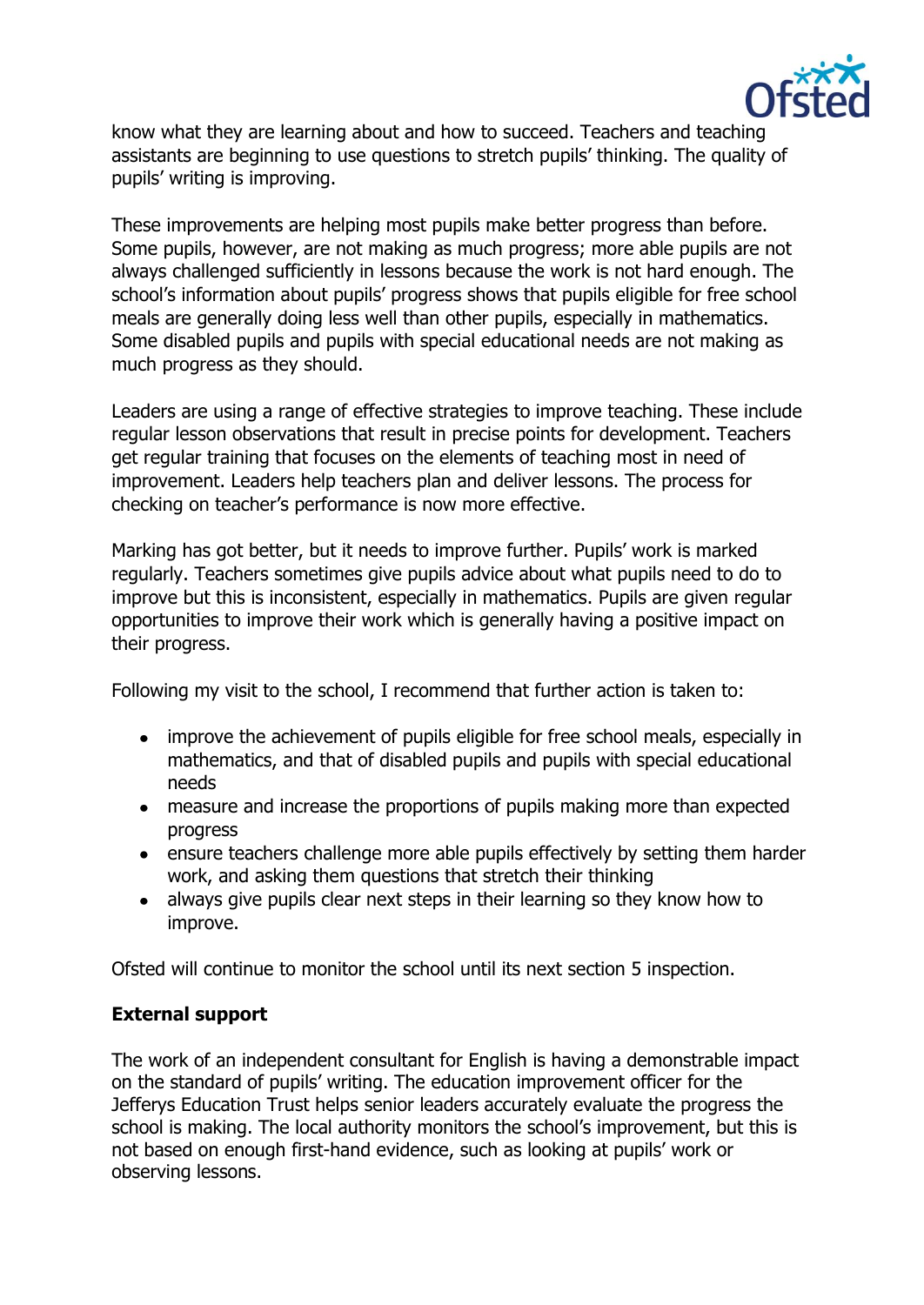

know what they are learning about and how to succeed. Teachers and teaching assistants are beginning to use questions to stretch pupils' thinking. The quality of pupils' writing is improving.

These improvements are helping most pupils make better progress than before. Some pupils, however, are not making as much progress; more able pupils are not always challenged sufficiently in lessons because the work is not hard enough. The school's information about pupils' progress shows that pupils eligible for free school meals are generally doing less well than other pupils, especially in mathematics. Some disabled pupils and pupils with special educational needs are not making as much progress as they should.

Leaders are using a range of effective strategies to improve teaching. These include regular lesson observations that result in precise points for development. Teachers get regular training that focuses on the elements of teaching most in need of improvement. Leaders help teachers plan and deliver lessons. The process for checking on teacher's performance is now more effective.

Marking has got better, but it needs to improve further. Pupils' work is marked regularly. Teachers sometimes give pupils advice about what pupils need to do to improve but this is inconsistent, especially in mathematics. Pupils are given regular opportunities to improve their work which is generally having a positive impact on their progress.

Following my visit to the school, I recommend that further action is taken to:

- improve the achievement of pupils eligible for free school meals, especially in mathematics, and that of disabled pupils and pupils with special educational needs
- measure and increase the proportions of pupils making more than expected progress
- ensure teachers challenge more able pupils effectively by setting them harder work, and asking them questions that stretch their thinking
- always give pupils clear next steps in their learning so they know how to improve.

Ofsted will continue to monitor the school until its next section 5 inspection.

## **External support**

The work of an independent consultant for English is having a demonstrable impact on the standard of pupils' writing. The education improvement officer for the Jefferys Education Trust helps senior leaders accurately evaluate the progress the school is making. The local authority monitors the school's improvement, but this is not based on enough first-hand evidence, such as looking at pupils' work or observing lessons.